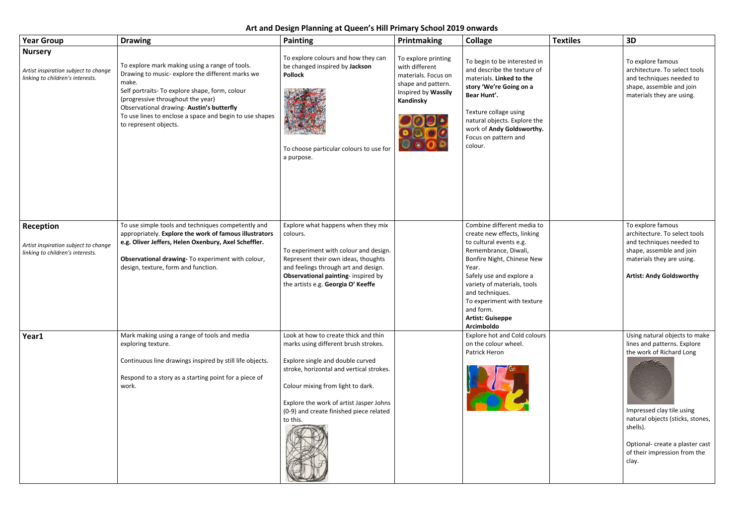## **Art and Design Planning at Queen's Hill Primary School 2019 onwards**

| <b>Year Group</b>                                                                          | <b>Drawing</b>                                                                                                                                                                                                                                                                                                                      | <b>Painting</b>                                                                                                                                                                                                                                                                                     | Printmaking                                                                                                            | <b>Collage</b>                                                                                                                                                                                                                                                                                                        | <b>Textiles</b> | 3D                                                                   |
|--------------------------------------------------------------------------------------------|-------------------------------------------------------------------------------------------------------------------------------------------------------------------------------------------------------------------------------------------------------------------------------------------------------------------------------------|-----------------------------------------------------------------------------------------------------------------------------------------------------------------------------------------------------------------------------------------------------------------------------------------------------|------------------------------------------------------------------------------------------------------------------------|-----------------------------------------------------------------------------------------------------------------------------------------------------------------------------------------------------------------------------------------------------------------------------------------------------------------------|-----------------|----------------------------------------------------------------------|
| <b>Nursery</b><br>Artist inspiration subject to change<br>linking to children's interests. | To explore mark making using a range of tools.<br>Drawing to music- explore the different marks we<br>make.<br>Self portraits- To explore shape, form, colour<br>(progressive throughout the year)<br>Observational drawing- Austin's butterfly<br>To use lines to enclose a space and begin to use shapes<br>to represent objects. | To explore colours and how they can<br>be changed inspired by Jackson<br><b>Pollock</b><br>To choose particular colours to use for<br>a purpose.                                                                                                                                                    | To explore printing<br>with different<br>materials. Focus on<br>shape and pattern.<br>Inspired by Wassily<br>Kandinsky | To begin to be interested in<br>and describe the texture of<br>materials. Linked to the<br>story 'We're Going on a<br>Bear Hunt'.<br>Texture collage using<br>natural objects. Explore the<br>work of Andy Goldsworthy.<br>Focus on pattern and<br>colour.                                                            |                 | To e<br>arch<br>and<br>shap<br>mat                                   |
| Reception<br>Artist inspiration subject to change<br>linking to children's interests.      | To use simple tools and techniques competently and<br>appropriately. Explore the work of famous illustrators<br>e.g. Oliver Jeffers, Helen Oxenbury, Axel Scheffler.<br>Observational drawing- To experiment with colour,<br>design, texture, form and function.                                                                    | Explore what happens when they mix<br>colours.<br>To experiment with colour and design.<br>Represent their own ideas, thoughts<br>and feelings through art and design.<br>Observational painting- inspired by<br>the artists e.g. Georgia O' Keeffe                                                 |                                                                                                                        | Combine different media to<br>create new effects, linking<br>to cultural events e.g.<br>Remembrance, Diwali,<br>Bonfire Night, Chinese New<br>Year.<br>Safely use and explore a<br>variety of materials, tools<br>and techniques.<br>To experiment with texture<br>and form.<br><b>Artist: Guiseppe</b><br>Arcimboldo |                 | To e<br>arch<br>and<br>shar<br>mat<br>Arti                           |
| Year1                                                                                      | Mark making using a range of tools and media<br>exploring texture.<br>Continuous line drawings inspired by still life objects.<br>Respond to a story as a starting point for a piece of<br>work.                                                                                                                                    | Look at how to create thick and thin<br>marks using different brush strokes.<br>Explore single and double curved<br>stroke, horizontal and vertical strokes.<br>Colour mixing from light to dark.<br>Explore the work of artist Jasper Johns<br>(0-9) and create finished piece related<br>to this. |                                                                                                                        | <b>Explore hot and Cold colours</b><br>on the colour wheel.<br>Patrick Heron                                                                                                                                                                                                                                          |                 | Usir<br>line:<br>the<br>Imp<br>natu<br>shel<br>Opti<br>of th<br>clay |

| extiles | 3D                                                                                                                                                                    |  |  |  |
|---------|-----------------------------------------------------------------------------------------------------------------------------------------------------------------------|--|--|--|
|         | To explore famous<br>architecture. To select tools<br>and techniques needed to<br>shape, assemble and join<br>materials they are using.                               |  |  |  |
|         | To explore famous<br>architecture. To select tools                                                                                                                    |  |  |  |
|         | and techniques needed to<br>shape, assemble and join<br>materials they are using.<br><b>Artist: Andy Goldsworthy</b>                                                  |  |  |  |
|         | Using natural objects to make<br>lines and patterns. Explore<br>the work of Richard Long<br>Impressed clay tile using<br>natural objects (sticks, stones,<br>shells). |  |  |  |
|         | Optional- create a plaster cast<br>of their impression from the<br>clay.                                                                                              |  |  |  |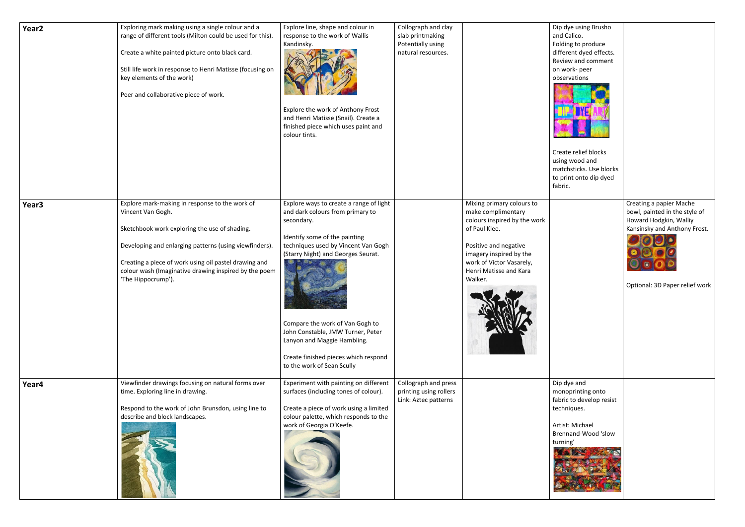| Year <sub>2</sub> | Exploring mark making using a single colour and a<br>range of different tools (Milton could be used for this).<br>Create a white painted picture onto black card.<br>Still life work in response to Henri Matisse (focusing on<br>key elements of the work)<br>Peer and collaborative piece of work.                   | Explore line, shape and colour in<br>response to the work of Wallis<br>Kandinsky.<br>Explore the work of Anthony Frost<br>and Henri Matisse (Snail). Create a<br>finished piece which uses paint and<br>colour tints.                                                                                                                                                                | Collograph and clay<br>slab printmaking<br>Potentially using<br>natural resources. |                                                                                                                                                                                                                       | Dip dy<br>and Ca<br>Folding<br>differe<br>Reviev<br>on wo<br>observ<br>Create<br>using \<br>match<br>to prin<br>fabric. |
|-------------------|------------------------------------------------------------------------------------------------------------------------------------------------------------------------------------------------------------------------------------------------------------------------------------------------------------------------|--------------------------------------------------------------------------------------------------------------------------------------------------------------------------------------------------------------------------------------------------------------------------------------------------------------------------------------------------------------------------------------|------------------------------------------------------------------------------------|-----------------------------------------------------------------------------------------------------------------------------------------------------------------------------------------------------------------------|-------------------------------------------------------------------------------------------------------------------------|
| Year <sub>3</sub> | Explore mark-making in response to the work of<br>Vincent Van Gogh.<br>Sketchbook work exploring the use of shading.<br>Developing and enlarging patterns (using viewfinders).<br>Creating a piece of work using oil pastel drawing and<br>colour wash (Imaginative drawing inspired by the poem<br>'The Hippocrump'). | Explore ways to create a range of light<br>and dark colours from primary to<br>secondary.<br>Identify some of the painting<br>techniques used by Vincent Van Gogh<br>(Starry Night) and Georges Seurat.<br>Compare the work of Van Gogh to<br>John Constable, JMW Turner, Peter<br>Lanyon and Maggie Hambling.<br>Create finished pieces which respond<br>to the work of Sean Scully |                                                                                    | Mixing primary colours to<br>make complimentary<br>colours inspired by the work<br>of Paul Klee.<br>Positive and negative<br>imagery inspired by the<br>work of Victor Vasarely,<br>Henri Matisse and Kara<br>Walker. |                                                                                                                         |
| Year4             | Viewfinder drawings focusing on natural forms over<br>time. Exploring line in drawing.<br>Respond to the work of John Brunsdon, using line to<br>describe and block landscapes.                                                                                                                                        | Experiment with painting on different<br>surfaces (including tones of colour).<br>Create a piece of work using a limited<br>colour palette, which responds to the<br>work of Georgia O'Keefe.                                                                                                                                                                                        | Collograph and press<br>printing using rollers<br>Link: Aztec patterns             |                                                                                                                                                                                                                       | Dip dy<br>monop<br>fabric <sup>1</sup><br>techni<br>Artist:<br><b>Brenna</b><br>turning<br>KA                           |

| Dip dye using Brusho<br>and Calico.<br>Folding to produce<br>different dyed effects.<br>Review and comment<br>on work- peer<br>observations<br>Create relief blocks<br>using wood and<br>matchsticks. Use blocks<br>to print onto dip dyed<br>fabric. |                                                                                                                                                      |
|-------------------------------------------------------------------------------------------------------------------------------------------------------------------------------------------------------------------------------------------------------|------------------------------------------------------------------------------------------------------------------------------------------------------|
|                                                                                                                                                                                                                                                       | Creating a papier Mache<br>bowl, painted in the style of<br>Howard Hodgkin, Walliy<br>Kansinsky and Anthony Frost.<br>Optional: 3D Paper relief work |
| Dip dye and<br>monoprinting onto<br>fabric to develop resist<br>techniques.<br>Artist: Michael<br>Brennand-Wood 'slow<br>turning'                                                                                                                     |                                                                                                                                                      |